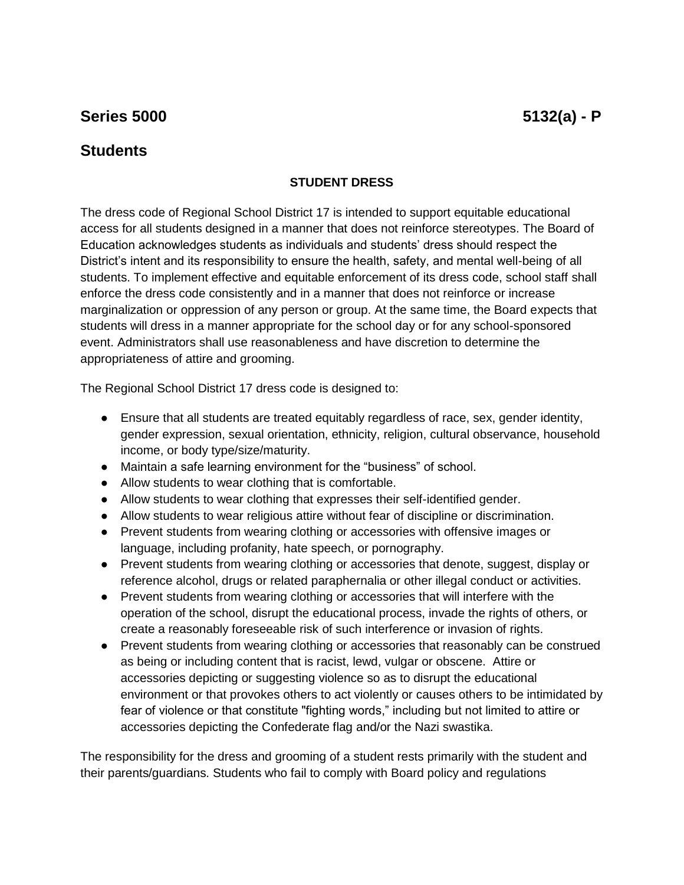## **Series 5000** 5132(a) - **P**

## **Students**

## **STUDENT DRESS**

The dress code of Regional School District 17 is intended to support equitable educational access for all students designed in a manner that does not reinforce stereotypes. The Board of Education acknowledges students as individuals and students' dress should respect the District's intent and its responsibility to ensure the health, safety, and mental well-being of all students. To implement effective and equitable enforcement of its dress code, school staff shall enforce the dress code consistently and in a manner that does not reinforce or increase marginalization or oppression of any person or group. At the same time, the Board expects that students will dress in a manner appropriate for the school day or for any school-sponsored event. Administrators shall use reasonableness and have discretion to determine the appropriateness of attire and grooming.

The Regional School District 17 dress code is designed to:

- Ensure that all students are treated equitably regardless of race, sex, gender identity, gender expression, sexual orientation, ethnicity, religion, cultural observance, household income, or body type/size/maturity.
- Maintain a safe learning environment for the "business" of school.
- Allow students to wear clothing that is comfortable.
- Allow students to wear clothing that expresses their self-identified gender.
- Allow students to wear religious attire without fear of discipline or discrimination.
- Prevent students from wearing clothing or accessories with offensive images or language, including profanity, hate speech, or pornography.
- Prevent students from wearing clothing or accessories that denote, suggest, display or reference alcohol, drugs or related paraphernalia or other illegal conduct or activities.
- Prevent students from wearing clothing or accessories that will interfere with the operation of the school, disrupt the educational process, invade the rights of others, or create a reasonably foreseeable risk of such interference or invasion of rights.
- Prevent students from wearing clothing or accessories that reasonably can be construed as being or including content that is racist, lewd, vulgar or obscene. Attire or accessories depicting or suggesting violence so as to disrupt the educational environment or that provokes others to act violently or causes others to be intimidated by fear of violence or that constitute "fighting words," including but not limited to attire or accessories depicting the Confederate flag and/or the Nazi swastika.

The responsibility for the dress and grooming of a student rests primarily with the student and their parents/guardians. Students who fail to comply with Board policy and regulations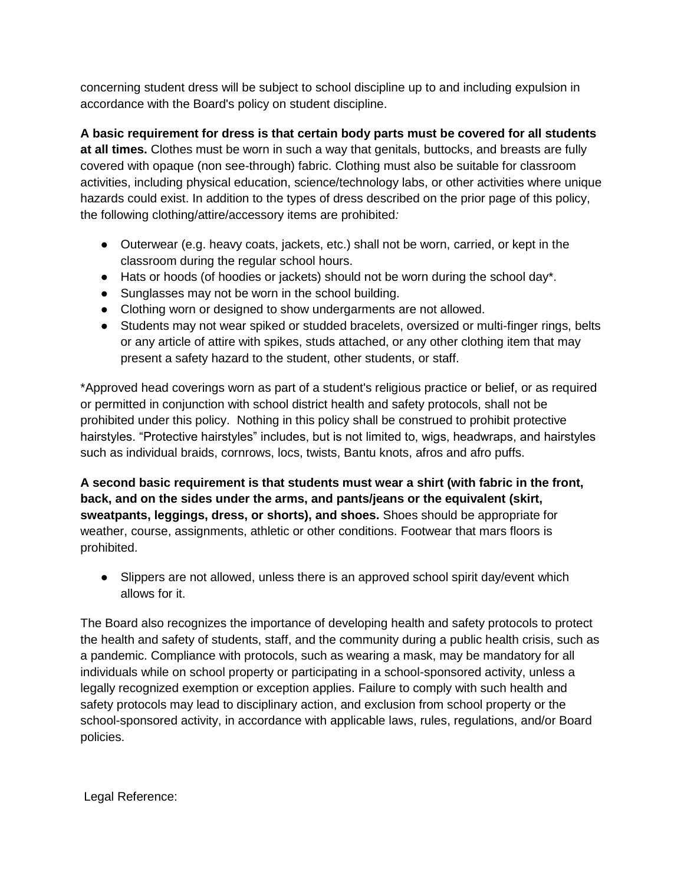concerning student dress will be subject to school discipline up to and including expulsion in accordance with the Board's policy on student discipline.

**A basic requirement for dress is that certain body parts must be covered for all students at all times.** Clothes must be worn in such a way that genitals, buttocks, and breasts are fully covered with opaque (non see-through) fabric. Clothing must also be suitable for classroom activities, including physical education, science/technology labs, or other activities where unique hazards could exist. In addition to the types of dress described on the prior page of this policy, the following clothing/attire/accessory items are prohibited*:* 

- Outerwear (e.g. heavy coats, jackets, etc.) shall not be worn, carried, or kept in the classroom during the regular school hours.
- Hats or hoods (of hoodies or jackets) should not be worn during the school day\*.
- Sunglasses may not be worn in the school building.
- Clothing worn or designed to show undergarments are not allowed.
- Students may not wear spiked or studded bracelets, oversized or multi-finger rings, belts or any article of attire with spikes, studs attached, or any other clothing item that may present a safety hazard to the student, other students, or staff.

\*Approved head coverings worn as part of a student's religious practice or belief, or as required or permitted in conjunction with school district health and safety protocols, shall not be prohibited under this policy. Nothing in this policy shall be construed to prohibit protective hairstyles. "Protective hairstyles" includes, but is not limited to, wigs, headwraps, and hairstyles such as individual braids, cornrows, locs, twists, Bantu knots, afros and afro puffs.

**A second basic requirement is that students must wear a shirt (with fabric in the front, back, and on the sides under the arms, and pants/jeans or the equivalent (skirt, sweatpants, leggings, dress, or shorts), and shoes.** Shoes should be appropriate for weather, course, assignments, athletic or other conditions. Footwear that mars floors is prohibited.

● Slippers are not allowed, unless there is an approved school spirit day/event which allows for it.

The Board also recognizes the importance of developing health and safety protocols to protect the health and safety of students, staff, and the community during a public health crisis, such as a pandemic. Compliance with protocols, such as wearing a mask, may be mandatory for all individuals while on school property or participating in a school-sponsored activity, unless a legally recognized exemption or exception applies. Failure to comply with such health and safety protocols may lead to disciplinary action, and exclusion from school property or the school-sponsored activity, in accordance with applicable laws, rules, regulations, and/or Board policies.

Legal Reference: